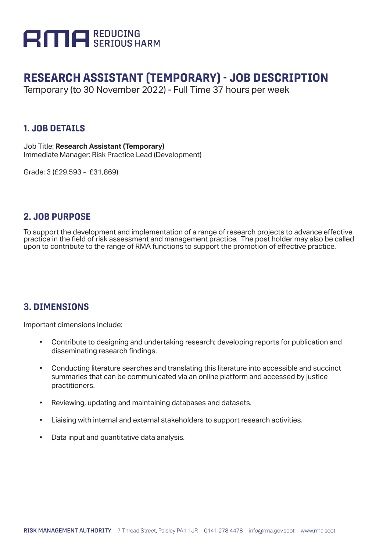

# **RESEARCH ASSISTANT (TEMPORARY) - JOB DESCRIPTION**

Temporary (to 30 November 2022) - Full Time 37 hours per week

#### **1. JOB DETAILS**

Job Title: **Research Assistant (Temporary)** Immediate Manager: Risk Practice Lead (Development)

Grade: 3 (£29,593 - £31,869)

#### **2. JOB PURPOSE**

To support the development and implementation of a range of research projects to advance effective practice in the field of risk assessment and management practice. The post holder may also be called upon to contribute to the range of RMA functions to support the promotion of effective practice.

#### **3. DIMENSIONS**

Important dimensions include:

- Contribute to designing and undertaking research; developing reports for publication and disseminating research findings.
- Conducting literature searches and translating this literature into accessible and succinct summaries that can be communicated via an online platform and accessed by justice practitioners.
- Reviewing, updating and maintaining databases and datasets.
- Liaising with internal and external stakeholders to support research activities.
- Data input and quantitative data analysis.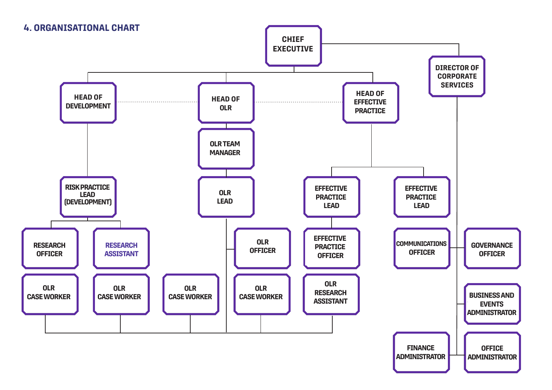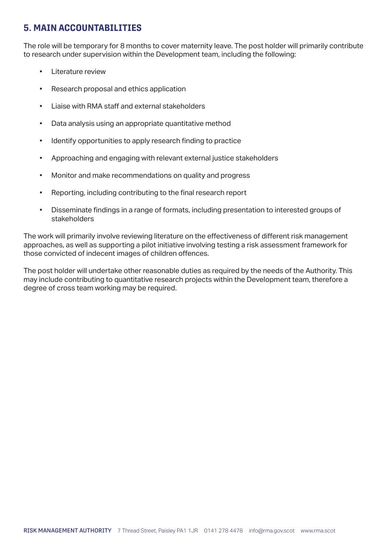### **5. MAIN ACCOUNTABILITIES**

The role will be temporary for 8 months to cover maternity leave. The post holder will primarily contribute to research under supervision within the Development team, including the following:

- Literature review
- Research proposal and ethics application
- Liaise with RMA staff and external stakeholders
- Data analysis using an appropriate quantitative method
- Identify opportunities to apply research finding to practice
- Approaching and engaging with relevant external justice stakeholders
- Monitor and make recommendations on quality and progress
- Reporting, including contributing to the final research report
- Disseminate findings in a range of formats, including presentation to interested groups of stakeholders

The work will primarily involve reviewing literature on the effectiveness of different risk management approaches, as well as supporting a pilot initiative involving testing a risk assessment framework for those convicted of indecent images of children offences.

The post holder will undertake other reasonable duties as required by the needs of the Authority. This may include contributing to quantitative research projects within the Development team, therefore a degree of cross team working may be required.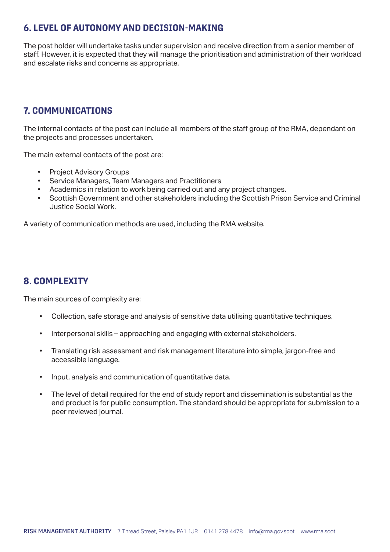### **6. LEVEL OF AUTONOMY AND DECISION-MAKING**

The post holder will undertake tasks under supervision and receive direction from a senior member of staff. However, it is expected that they will manage the prioritisation and administration of their workload and escalate risks and concerns as appropriate.

## **7. COMMUNICATIONS**

The internal contacts of the post can include all members of the staff group of the RMA, dependant on the projects and processes undertaken.

The main external contacts of the post are:

- Project Advisory Groups
- Service Managers, Team Managers and Practitioners
- Academics in relation to work being carried out and any project changes.
- Scottish Government and other stakeholders including the Scottish Prison Service and Criminal Justice Social Work.

A variety of communication methods are used, including the RMA website.

#### **8. COMPLEXITY**

The main sources of complexity are:

- Collection, safe storage and analysis of sensitive data utilising quantitative techniques.
- Interpersonal skills approaching and engaging with external stakeholders.
- Translating risk assessment and risk management literature into simple, jargon-free and accessible language.
- Input, analysis and communication of quantitative data.
- The level of detail required for the end of study report and dissemination is substantial as the end product is for public consumption. The standard should be appropriate for submission to a peer reviewed journal.